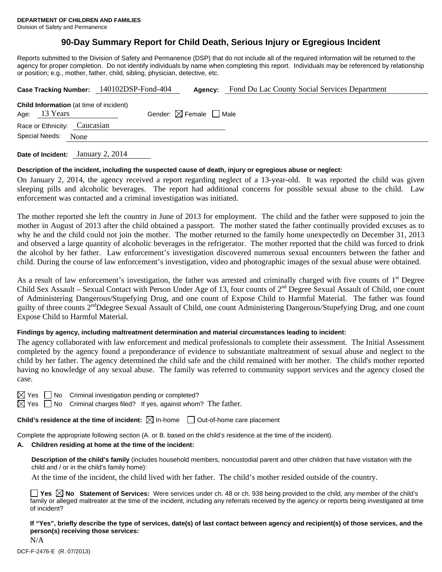# **90-Day Summary Report for Child Death, Serious Injury or Egregious Incident**

Reports submitted to the Division of Safety and Permanence (DSP) that do not include all of the required information will be returned to the agency for proper completion. Do not identify individuals by name when completing this report. Individuals may be referenced by relationship or position; e.g., mother, father, child, sibling, physician, detective, etc.

| Case Tracking Number: 140102DSP-Fond-404                        |  |  | Agency:                                | Fond Du Lac County Social Services Department |  |  |  |
|-----------------------------------------------------------------|--|--|----------------------------------------|-----------------------------------------------|--|--|--|
| <b>Child Information</b> (at time of incident)<br>Age: 13 Years |  |  | Gender: $\boxtimes$ Female $\Box$ Male |                                               |  |  |  |
| Race or Ethnicity: Caucasian                                    |  |  |                                        |                                               |  |  |  |
| Special Needs:<br>None                                          |  |  |                                        |                                               |  |  |  |
|                                                                 |  |  |                                        |                                               |  |  |  |

**Date of Incident:** January 2, 2014

### **Description of the incident, including the suspected cause of death, injury or egregious abuse or neglect:**

On January 2, 2014, the agency received a report regarding neglect of a 13-year-old. It was reported the child was given sleeping pills and alcoholic beverages. The report had additional concerns for possible sexual abuse to the child. Law enforcement was contacted and a criminal investigation was initiated.

The mother reported she left the country in June of 2013 for employment. The child and the father were supposed to join the mother in August of 2013 after the child obtained a passport. The mother stated the father continually provided excuses as to why he and the child could not join the mother. The mother returned to the family home unexpectedly on December 31, 2013 and observed a large quantity of alcoholic beverages in the refrigerator. The mother reported that the child was forced to drink the alcohol by her father. Law enforcement's investigation discovered numerous sexual encounters between the father and child. During the course of law enforcement's investigation, video and photographic images of the sexual abuse were obtained.

As a result of law enforcement's investigation, the father was arrested and criminally charged with five counts of  $1<sup>st</sup>$  Degree Child Sex Assault – Sexual Contact with Person Under Age of 13, four counts of  $2<sup>nd</sup>$  Degree Sexual Assault of Child, one count of Administering Dangerous/Stupefying Drug, and one count of Expose Child to Harmful Material. The father was found guilty of three counts 2<sup>nd</sup>Ddegree Sexual Assault of Child, one count Administering Dangerous/Stupefying Drug, and one count Expose Child to Harmful Material.

## **Findings by agency, including maltreatment determination and material circumstances leading to incident:**

The agency collaborated with law enforcement and medical professionals to complete their assessment. The Initial Assessment completed by the agency found a preponderance of evidence to substantiate maltreatment of sexual abuse and neglect to the child by her father. The agency determined the child safe and the child remained with her mother. The child's mother reported having no knowledge of any sexual abuse. The family was referred to community support services and the agency closed the case.

 $\Box$  No Criminal investigation pending or completed?

 $\boxtimes$  Yes  $\Box$  No Criminal charges filed? If yes, against whom? The father.

**Child's residence at the time of incident:**  $\boxtimes$  In-home  $\Box$  Out-of-home care placement

Complete the appropriate following section (A. or B. based on the child's residence at the time of the incident).

### **A. Children residing at home at the time of the incident:**

**Description of the child's family** (includes household members, noncustodial parent and other children that have visitation with the child and / or in the child's family home):

At the time of the incident, the child lived with her father. The child's mother resided outside of the country.

**Yes No Statement of Services:** Were services under ch. 48 or ch. 938 being provided to the child, any member of the child's family or alleged maltreater at the time of the incident, including any referrals received by the agency or reports being investigated at time of incident?

**If "Yes", briefly describe the type of services, date(s) of last contact between agency and recipient(s) of those services, and the person(s) receiving those services:** 

N/A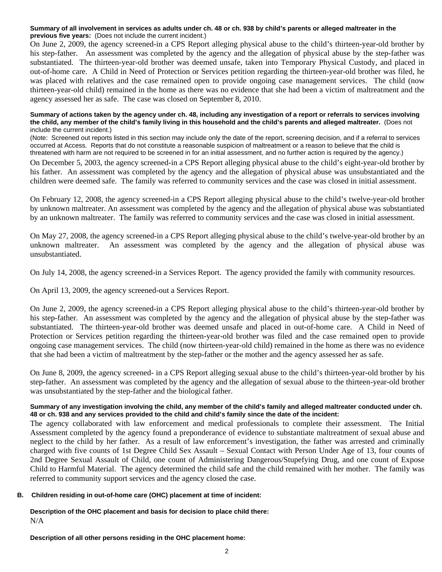#### **Summary of all involvement in services as adults under ch. 48 or ch. 938 by child's parents or alleged maltreater in the previous five years:** (Does not include the current incident.)

On June 2, 2009, the agency screened-in a CPS Report alleging physical abuse to the child's thirteen-year-old brother by his step-father. An assessment was completed by the agency and the allegation of physical abuse by the step-father was substantiated. The thirteen-year-old brother was deemed unsafe, taken into Temporary Physical Custody, and placed in out-of-home care. A Child in Need of Protection or Services petition regarding the thirteen-year-old brother was filed, he was placed with relatives and the case remained open to provide ongoing case management services. The child (now thirteen-year-old child) remained in the home as there was no evidence that she had been a victim of maltreatment and the agency assessed her as safe. The case was closed on September 8, 2010.

#### **Summary of actions taken by the agency under ch. 48, including any investigation of a report or referrals to services involving the child, any member of the child's family living in this household and the child's parents and alleged maltreater.** (Does not include the current incident.)

(Note: Screened out reports listed in this section may include only the date of the report, screening decision, and if a referral to services occurred at Access. Reports that do not constitute a reasonable suspicion of maltreatment or a reason to believe that the child is threatened with harm are not required to be screened in for an initial assessment, and no further action is required by the agency.)

On December 5, 2003, the agency screened-in a CPS Report alleging physical abuse to the child's eight-year-old brother by his father. An assessment was completed by the agency and the allegation of physical abuse was unsubstantiated and the children were deemed safe. The family was referred to community services and the case was closed in initial assessment.

On February 12, 2008, the agency screened-in a CPS Report alleging physical abuse to the child's twelve-year-old brother by unknown maltreater. An assessment was completed by the agency and the allegation of physical abuse was substantiated by an unknown maltreater. The family was referred to community services and the case was closed in initial assessment.

On May 27, 2008, the agency screened-in a CPS Report alleging physical abuse to the child's twelve-year-old brother by an unknown maltreater. An assessment was completed by the agency and the allegation of physical abuse was unsubstantiated.

On July 14, 2008, the agency screened-in a Services Report. The agency provided the family with community resources.

On April 13, 2009, the agency screened-out a Services Report.

On June 2, 2009, the agency screened-in a CPS Report alleging physical abuse to the child's thirteen-year-old brother by his step-father. An assessment was completed by the agency and the allegation of physical abuse by the step-father was substantiated. The thirteen-year-old brother was deemed unsafe and placed in out-of-home care. A Child in Need of Protection or Services petition regarding the thirteen-year-old brother was filed and the case remained open to provide ongoing case management services. The child (now thirteen-year-old child) remained in the home as there was no evidence that she had been a victim of maltreatment by the step-father or the mother and the agency assessed her as safe.

On June 8, 2009, the agency screened- in a CPS Report alleging sexual abuse to the child's thirteen-year-old brother by his step-father. An assessment was completed by the agency and the allegation of sexual abuse to the thirteen-year-old brother was unsubstantiated by the step-father and the biological father.

### **Summary of any investigation involving the child, any member of the child's family and alleged maltreater conducted under ch. 48 or ch. 938 and any services provided to the child and child's family since the date of the incident:**

The agency collaborated with law enforcement and medical professionals to complete their assessment. The Initial Assessment completed by the agency found a preponderance of evidence to substantiate maltreatment of sexual abuse and neglect to the child by her father. As a result of law enforcement's investigation, the father was arrested and criminally charged with five counts of 1st Degree Child Sex Assault – Sexual Contact with Person Under Age of 13, four counts of 2nd Degree Sexual Assault of Child, one count of Administering Dangerous/Stupefying Drug, and one count of Expose Child to Harmful Material. The agency determined the child safe and the child remained with her mother. The family was referred to community support services and the agency closed the case.

### **B. Children residing in out-of-home care (OHC) placement at time of incident:**

**Description of the OHC placement and basis for decision to place child there:** N/A

**Description of all other persons residing in the OHC placement home:**